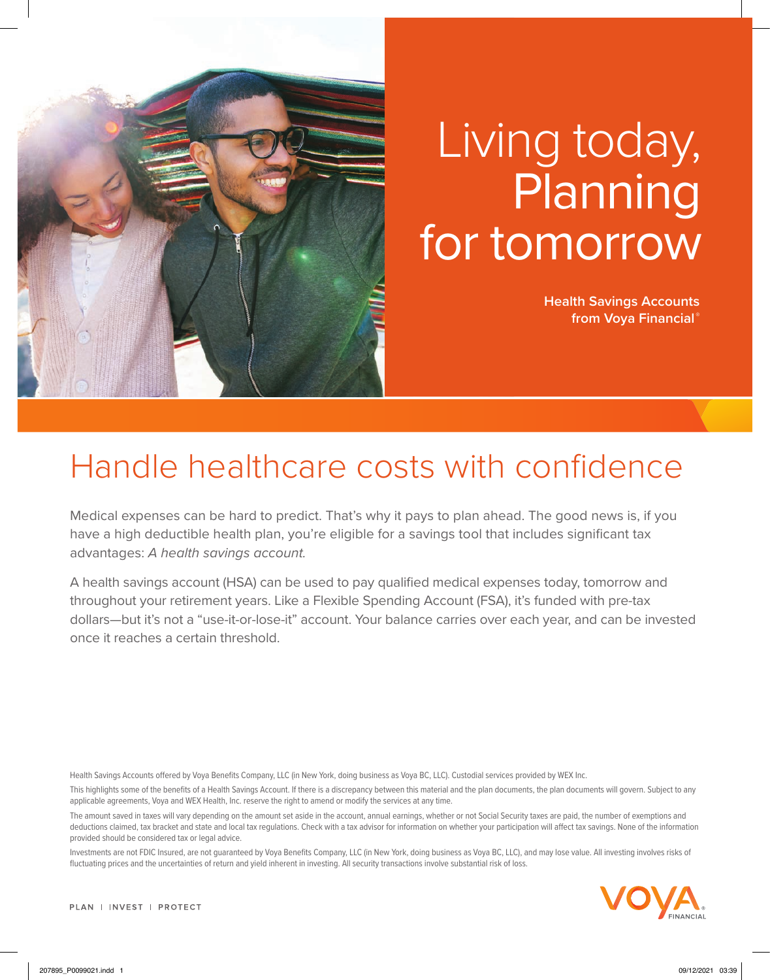

## Living today, **Planning** for tomorrow

**Health Savings Accounts from Voya Financial ®**

## Handle healthcare costs with confidence

Medical expenses can be hard to predict. That's why it pays to plan ahead. The good news is, if you have a high deductible health plan, you're eligible for a savings tool that includes significant tax advantages: *A health savings account.*

A health savings account (HSA) can be used to pay qualified medical expenses today, tomorrow and throughout your retirement years. Like a Flexible Spending Account (FSA), it's funded with pre-tax dollars—but it's not a "use-it-or-lose-it" account. Your balance carries over each year, and can be invested once it reaches a certain threshold.

Health Savings Accounts offered by Voya Benefits Company, LLC (in New York, doing business as Voya BC, LLC). Custodial services provided by WEX Inc.

This highlights some of the benefits of a Health Savings Account. If there is a discrepancy between this material and the plan documents, the plan documents will govern. Subject to any applicable agreements, Voya and WEX Health, Inc. reserve the right to amend or modify the services at any time.

The amount saved in taxes will vary depending on the amount set aside in the account, annual earnings, whether or not Social Security taxes are paid, the number of exemptions and deductions claimed, tax bracket and state and local tax regulations. Check with a tax advisor for information on whether your participation will affect tax savings. None of the information provided should be considered tax or legal advice.

Investments are not FDIC Insured, are not guaranteed by Voya Benefits Company, LLC (in New York, doing business as Voya BC, LLC), and may lose value. All investing involves risks of fluctuating prices and the uncertainties of return and yield inherent in investing. All security transactions involve substantial risk of loss.

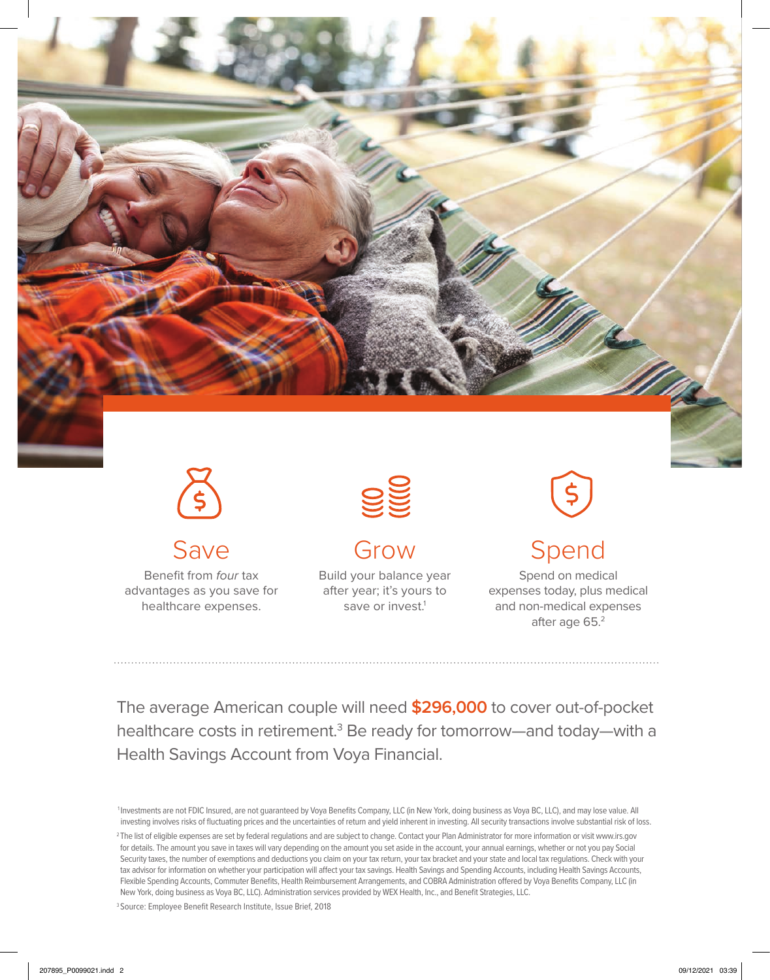

Save

Benefit from *four* tax advantages as you save for healthcare expenses.



## Grow

Build your balance year after year; it's yours to save or invest.<sup>1</sup>

<u>\$</u>

## Spend

Spend on medical expenses today, plus medical and non-medical expenses after age 65.2

The average American couple will need **\$296,000** to cover out-of-pocket healthcare costs in retirement.<sup>3</sup> Be ready for tomorrow—and today—with a Health Savings Account from Voya Financial.

1 Investments are not FDIC Insured, are not guaranteed by Voya Benefits Company, LLC (in New York, doing business as Voya BC, LLC), and may lose value. All investing involves risks of fluctuating prices and the uncertainties of return and yield inherent in investing. All security transactions involve substantial risk of loss. <sup>2</sup> The list of eligible expenses are set by federal regulations and are subject to change. Contact your Plan Administrator for more information or visit www.irs.gov for details. The amount you save in taxes will vary depending on the amount you set aside in the account, your annual earnings, whether or not you pay Social Security taxes, the number of exemptions and deductions you claim on your tax return, your tax bracket and your state and local tax regulations. Check with your tax advisor for information on whether your participation will affect your tax savings. Health Savings and Spending Accounts, including Health Savings Accounts, Flexible Spending Accounts, Commuter Benefits, Health Reimbursement Arrangements, and COBRA Administration offered by Voya Benefits Company, LLC (in New York, doing business as Voya BC, LLC). Administration services provided by WEX Health, Inc., and Benefit Strategies, LLC.

3 Source: Employee Benefit Research Institute, Issue Brief, 2018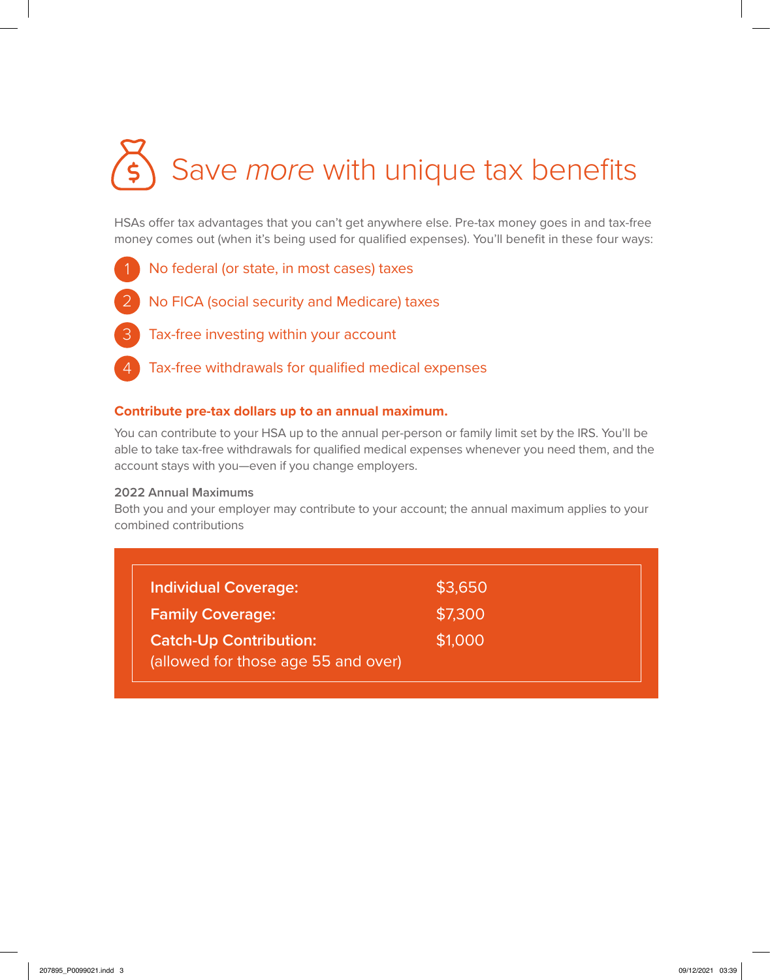# Save *more* with unique tax benefits

HSAs offer tax advantages that you can't get anywhere else. Pre-tax money goes in and tax-free money comes out (when it's being used for qualified expenses). You'll benefit in these four ways:

- No federal (or state, in most cases) taxes 1
- No FICA (social security and Medicare) taxes 2
- Tax-free investing within your account 3
- Tax-free withdrawals for qualified medical expenses 4

#### **Contribute pre-tax dollars up to an annual maximum.**

You can contribute to your HSA up to the annual per-person or family limit set by the IRS. You'll be able to take tax-free withdrawals for qualified medical expenses whenever you need them, and the account stays with you—even if you change employers.

#### **2022 Annual Maximums**

Both you and your employer may contribute to your account; the annual maximum applies to your combined contributions

| <b>Individual Coverage:</b>                                          | \$3,650 |
|----------------------------------------------------------------------|---------|
| <b>Family Coverage:</b>                                              | \$7,300 |
| <b>Catch-Up Contribution:</b><br>(allowed for those age 55 and over) | \$1,000 |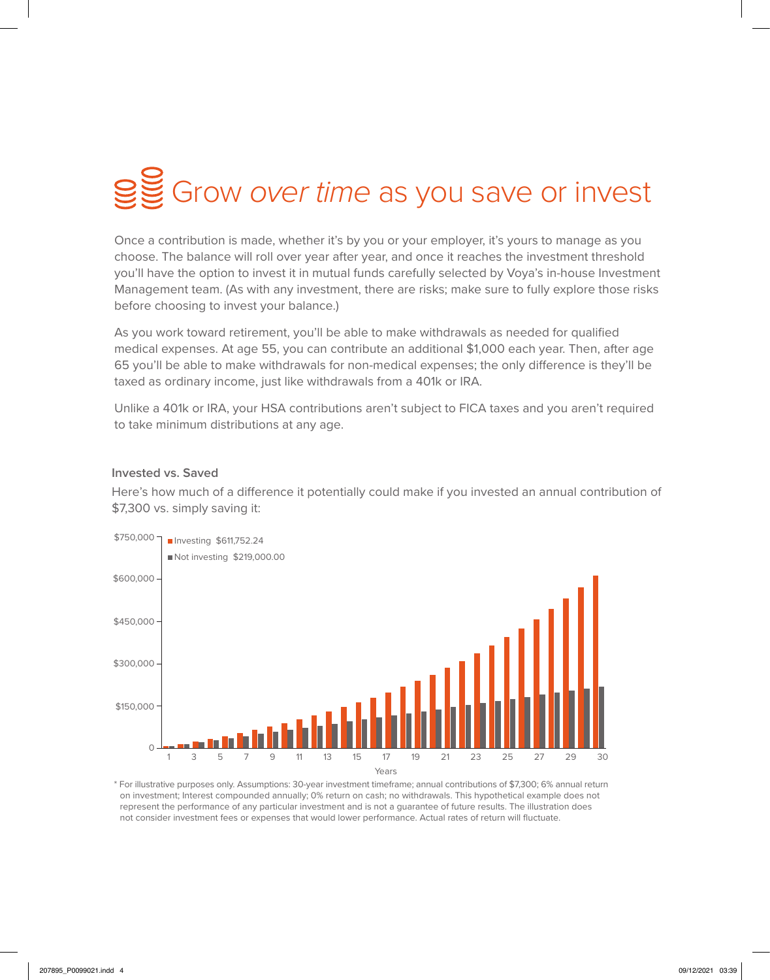## Grow *over time* as you save or invest

Once a contribution is made, whether it's by you or your employer, it's yours to manage as you choose. The balance will roll over year after year, and once it reaches the investment threshold you'll have the option to invest it in mutual funds carefully selected by Voya's in-house Investment Management team. (As with any investment, there are risks; make sure to fully explore those risks before choosing to invest your balance.)

As you work toward retirement, you'll be able to make withdrawals as needed for qualified medical expenses. At age 55, you can contribute an additional \$1,000 each year. Then, after age 65 you'll be able to make withdrawals for non-medical expenses; the only difference is they'll be taxed as ordinary income, just like withdrawals from a 401k or IRA.

Unlike a 401k or IRA, your HSA contributions aren't subject to FICA taxes and you aren't required to take minimum distributions at any age.

#### **Invested vs. Saved**

Here's how much of a difference it potentially could make if you invested an annual contribution of \$7,300 vs. simply saving it:



\* For illustrative purposes only. Assumptions: 30-year investment timeframe; annual contributions of \$7,300; 6% annual return on investment; Interest compounded annually; 0% return on cash; no withdrawals. This hypothetical example does not represent the performance of any particular investment and is not a guarantee of future results. The illustration does not consider investment fees or expenses that would lower performance. Actual rates of return will fluctuate.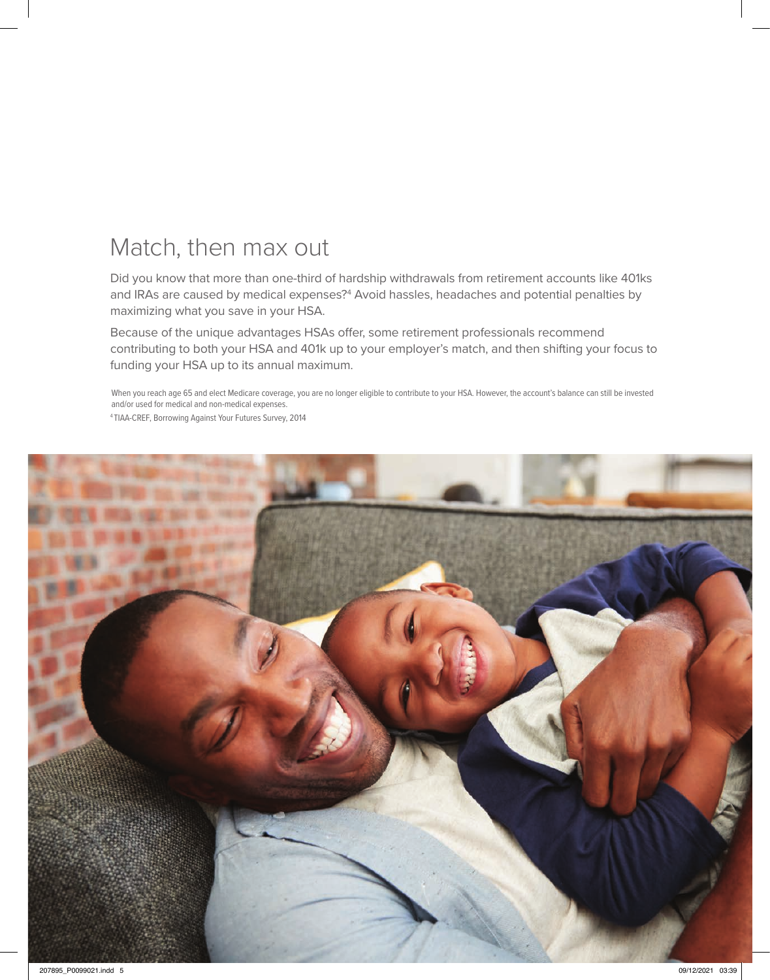### Match, then max out

Did you know that more than one-third of hardship withdrawals from retirement accounts like 401ks and IRAs are caused by medical expenses?<sup>4</sup> Avoid hassles, headaches and potential penalties by maximizing what you save in your HSA.

Because of the unique advantages HSAs offer, some retirement professionals recommend contributing to both your HSA and 401k up to your employer's match, and then shifting your focus to funding your HSA up to its annual maximum.

When you reach age 65 and elect Medicare coverage, you are no longer eligible to contribute to your HSA. However, the account's balance can still be invested and/or used for medical and non-medical expenses.

4 TIAA-CREF, Borrowing Against Your Futures Survey, 2014

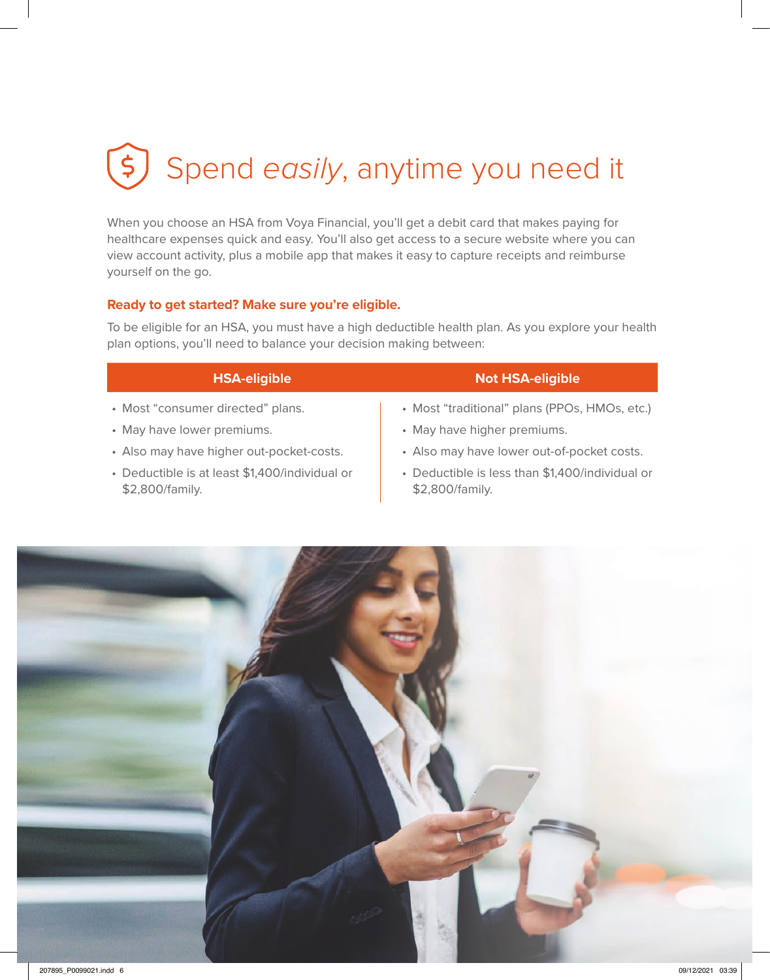## $\bigodot$ Spend *easily*, anytime you need it

When you choose an HSA from Voya Financial, you'll get a debit card that makes paying for healthcare expenses quick and easy. You'll also get access to a secure website where you can view account activity, plus a mobile app that makes it easy to capture receipts and reimburse yourself on the go.

#### **Ready to get started? Make sure you're eligible.**

To be eligible for an HSA, you must have a high deductible health plan. As you explore your health plan options, you'll need to balance your decision making between:

- Most "consumer directed" plans.
- May have lower premiums.
- Also may have higher out-pocket-costs.
- Deductible is at least \$1,400/individual or \$2,800/family.

#### **HSA-eligible Not HSA-eligible**

- Most "traditional" plans (PPOs, HMOs, etc.)
- May have higher premiums.
- Also may have lower out-of-pocket costs.
- Deductible is less than \$1,400/individual or \$2,800/family.

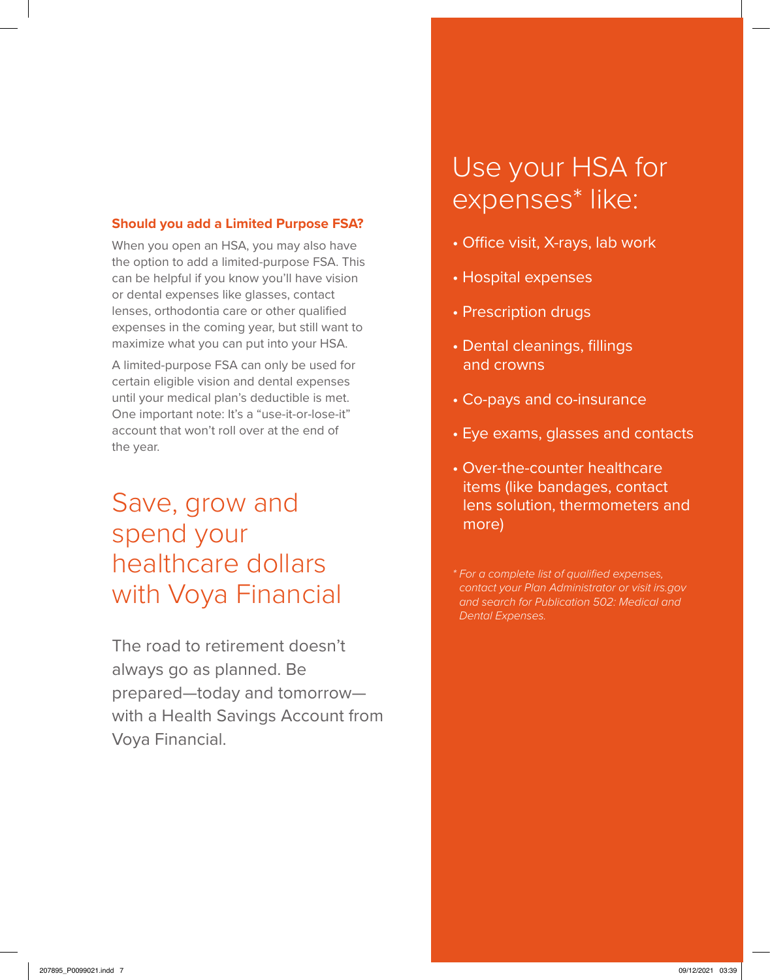#### **Should you add a Limited Purpose FSA?**

When you open an HSA, you may also have the option to add a limited-purpose FSA. This can be helpful if you know you'll have vision or dental expenses like glasses, contact lenses, orthodontia care or other qualified expenses in the coming year, but still want to maximize what you can put into your HSA.

A limited-purpose FSA can only be used for certain eligible vision and dental expenses until your medical plan's deductible is met. One important note: It's a "use-it-or-lose-it" account that won't roll over at the end of the year.

### Save, grow and spend your healthcare dollars with Voya Financial

The road to retirement doesn't always go as planned. Be prepared—today and tomorrow with a Health Savings Account from Voya Financial.

## Use your HSA for expenses\* like:

- Office visit, X-rays, lab work
- Hospital expenses
- Prescription drugs
- Dental cleanings, fillings and crowns
- Co-pays and co-insurance
- Eye exams, glasses and contacts
- Over-the-counter healthcare items (like bandages, contact lens solution, thermometers and more)

*\* For a complete list of qualified expenses, contact your Plan Administrator or visit irs.gov and search for Publication 502: Medical and Dental Expenses.*